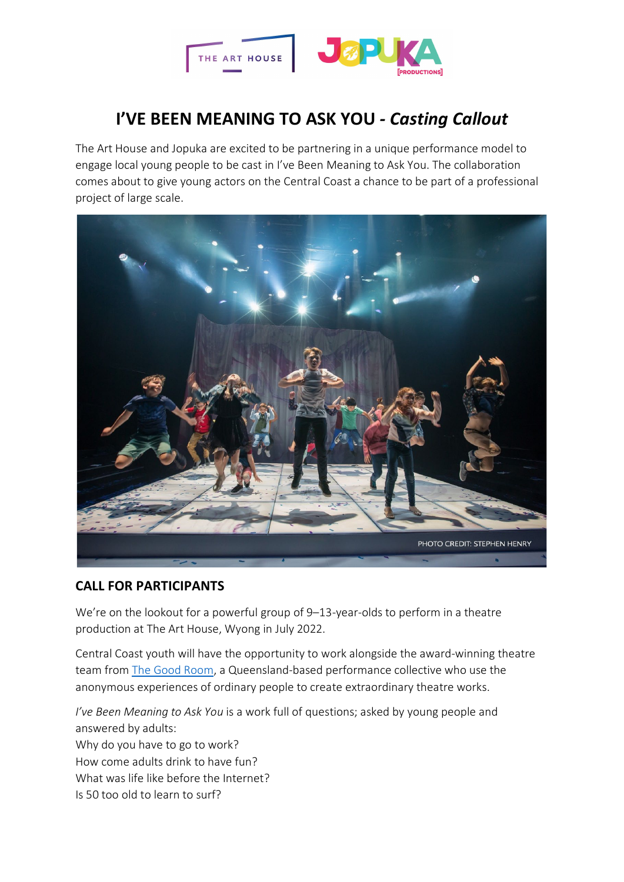

# **I'VE BEEN MEANING TO ASK YOU** *- Casting Callout*

The Art House and Jopuka are excited to be partnering in a unique performance model to engage local young people to be cast in I've Been Meaning to Ask You. The collaboration comes about to give young actors on the Central Coast a chance to be part of a professional project of large scale.



# **CALL FOR PARTICIPANTS**

We're on the lookout for a powerful group of 9–13-year-olds to perform in a theatre production at The Art House, Wyong in July 2022.

Central Coast youth will have the opportunity to work alongside the award-winning theatre team from [The Good Room,](https://thegoodroom.com.au/) a Queensland-based performance collective who use the anonymous experiences of ordinary people to create extraordinary theatre works.

*I've Been Meaning to Ask You* is a work full of questions; asked by young people and answered by adults: Why do you have to go to work? How come adults drink to have fun? What was life like before the Internet? Is 50 too old to learn to surf?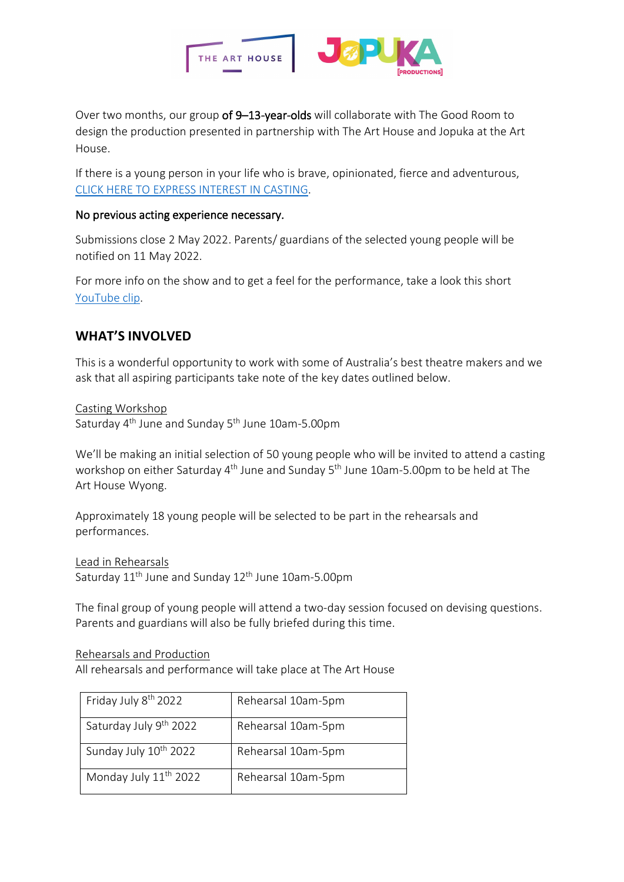

Over two months, our group of 9-13-year-olds will collaborate with The Good Room to design the production presented in partnership with The Art House and Jopuka at the Art House.

If there is a young person in your life who is brave, opinionated, fierce and adventurous, [CLICK HERE TO EXPRESS INTEREST IN CASTING.](https://form.jotform.com/220864005758054)

#### No previous acting experience necessary.

Submissions close 2 May 2022. Parents/ guardians of the selected young people will be notified on 11 May 2022.

For more info on the show and to get a feel for the performance, take a look this short [YouTube clip.](https://youtu.be/14UxcNho-Z8)

# **WHAT'S INVOLVED**

This is a wonderful opportunity to work with some of Australia's best theatre makers and we ask that all aspiring participants take note of the key dates outlined below.

Casting Workshop Saturday 4th June and Sunday 5th June 10am-5.00pm

We'll be making an initial selection of 50 young people who will be invited to attend a casting workshop on either Saturday 4<sup>th</sup> June and Sunday 5<sup>th</sup> June 10am-5.00pm to be held at The Art House Wyong.

Approximately 18 young people will be selected to be part in the rehearsals and performances.

Lead in Rehearsals Saturday 11<sup>th</sup> June and Sunday 12<sup>th</sup> June 10am-5.00pm

The final group of young people will attend a two-day session focused on devising questions. Parents and guardians will also be fully briefed during this time.

Rehearsals and Production

All rehearsals and performance will take place at The Art House

| Friday July 8 <sup>th</sup> 2022  | Rehearsal 10am-5pm |
|-----------------------------------|--------------------|
| Saturday July 9th 2022            | Rehearsal 10am-5pm |
| Sunday July 10 <sup>th</sup> 2022 | Rehearsal 10am-5pm |
| Monday July 11 <sup>th</sup> 2022 | Rehearsal 10am-5pm |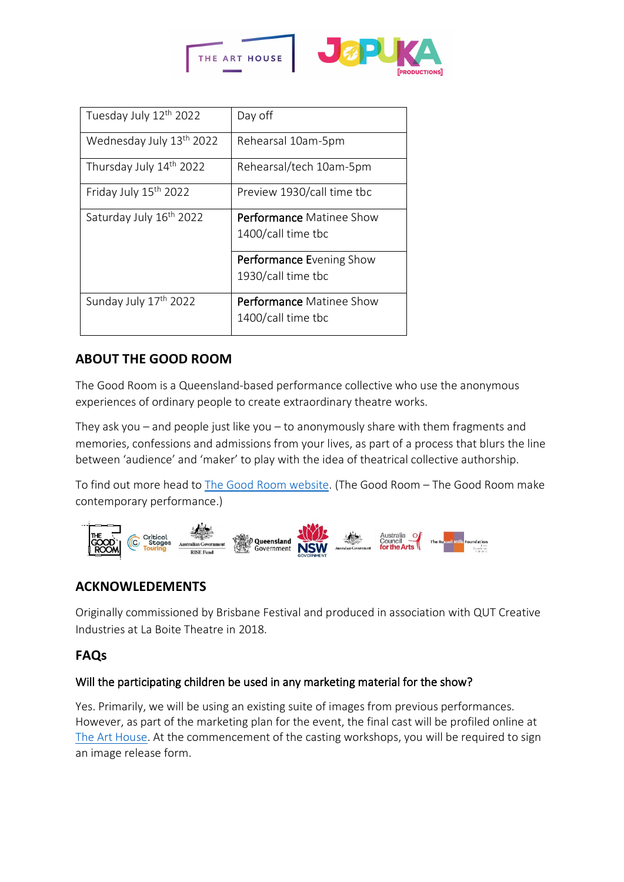



| Tuesday July 12th 2022              | Day off                                               |
|-------------------------------------|-------------------------------------------------------|
| Wednesday July 13th 2022            | Rehearsal 10am-5pm                                    |
| Thursday July 14th 2022             | Rehearsal/tech 10am-5pm                               |
| Friday July 15th 2022               | Preview 1930/call time tbc                            |
| Saturday July 16 <sup>th</sup> 2022 | <b>Performance</b> Matinee Show<br>1400/call time tbc |
|                                     | <b>Performance Evening Show</b><br>1930/call time tbc |
| Sunday July 17 <sup>th</sup> 2022   | <b>Performance Matinee Show</b><br>1400/call time tbc |

# **ABOUT THE GOOD ROOM**

The Good Room is a Queensland-based performance collective who use the anonymous experiences of ordinary people to create extraordinary theatre works.

They ask you – and people just like you – to anonymously share with them fragments and memories, confessions and admissions from your lives, as part of a process that blurs the line between 'audience' and 'maker' to play with the idea of theatrical collective authorship.

To find out more head to [The Good Room website.](https://thegoodroom.com.au/) (The Good Room – The Good Room make [contemporary performance.\)](https://thegoodroom.com.au/)



# **ACKNOWLEDEMENTS**

Originally commissioned by Brisbane Festival and produced in association with QUT Creative Industries at La Boite Theatre in 2018.

# **FAQs**

## Will the participating children be used in any marketing material for the show?

Yes. Primarily, we will be using an existing suite of images from previous performances. However, as part of the marketing plan for the event, the final cast will be profiled online at [The Art House.](https://www.thearthousewyong.com.au/) At the commencement of the casting workshops, you will be required to sign an image release form.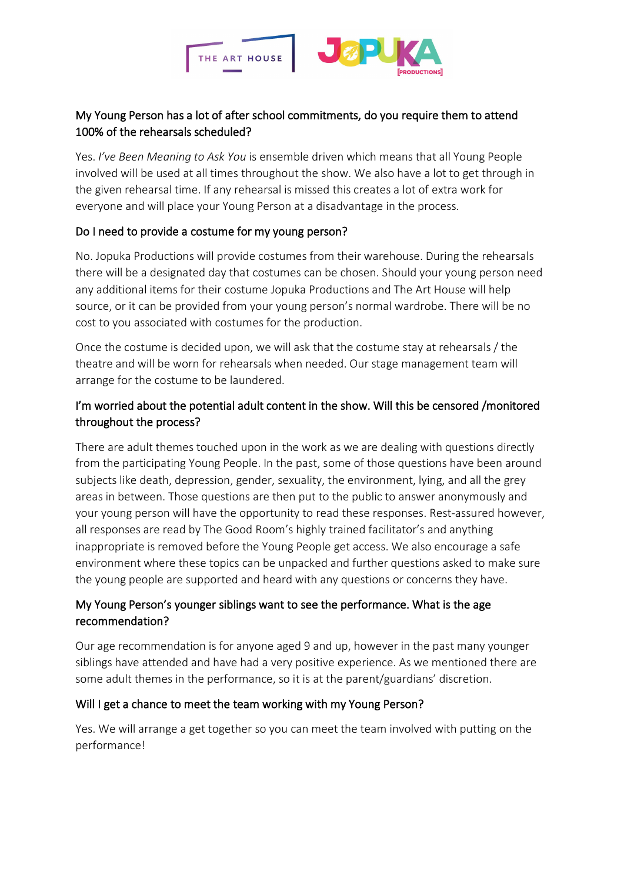

# My Young Person has a lot of after school commitments, do you require them to attend 100% of the rehearsals scheduled?

Yes. *I've Been Meaning to Ask You* is ensemble driven which means that all Young People involved will be used at all times throughout the show. We also have a lot to get through in the given rehearsal time. If any rehearsal is missed this creates a lot of extra work for everyone and will place your Young Person at a disadvantage in the process.

## Do I need to provide a costume for my young person?

No. Jopuka Productions will provide costumes from their warehouse. During the rehearsals there will be a designated day that costumes can be chosen. Should your young person need any additional items for their costume Jopuka Productions and The Art House will help source, or it can be provided from your young person's normal wardrobe. There will be no cost to you associated with costumes for the production.

Once the costume is decided upon, we will ask that the costume stay at rehearsals / the theatre and will be worn for rehearsals when needed. Our stage management team will arrange for the costume to be laundered.

# I'm worried about the potential adult content in the show. Will this be censored /monitored throughout the process?

There are adult themes touched upon in the work as we are dealing with questions directly from the participating Young People. In the past, some of those questions have been around subjects like death, depression, gender, sexuality, the environment, lying, and all the grey areas in between. Those questions are then put to the public to answer anonymously and your young person will have the opportunity to read these responses. Rest-assured however, all responses are read by The Good Room's highly trained facilitator's and anything inappropriate is removed before the Young People get access. We also encourage a safe environment where these topics can be unpacked and further questions asked to make sure the young people are supported and heard with any questions or concerns they have.

# My Young Person's younger siblings want to see the performance. What is the age recommendation?

Our age recommendation is for anyone aged 9 and up, however in the past many younger siblings have attended and have had a very positive experience. As we mentioned there are some adult themes in the performance, so it is at the parent/guardians' discretion.

## Will I get a chance to meet the team working with my Young Person?

Yes. We will arrange a get together so you can meet the team involved with putting on the performance!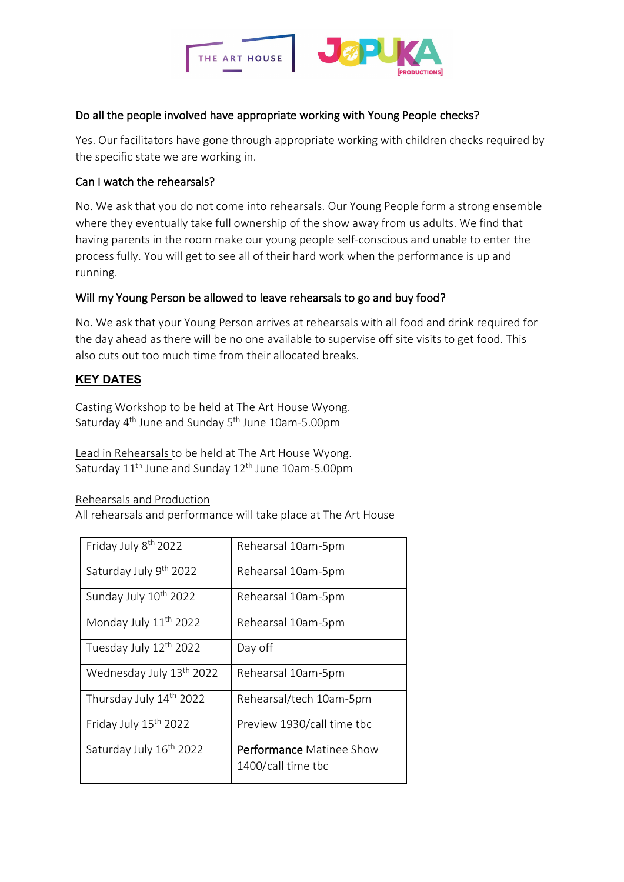

#### Do all the people involved have appropriate working with Young People checks?

Yes. Our facilitators have gone through appropriate working with children checks required by the specific state we are working in.

#### Can I watch the rehearsals?

No. We ask that you do not come into rehearsals. Our Young People form a strong ensemble where they eventually take full ownership of the show away from us adults. We find that having parents in the room make our young people self-conscious and unable to enter the process fully. You will get to see all of their hard work when the performance is up and running.

#### Will my Young Person be allowed to leave rehearsals to go and buy food?

No. We ask that your Young Person arrives at rehearsals with all food and drink required for the day ahead as there will be no one available to supervise off site visits to get food. This also cuts out too much time from their allocated breaks.

## **KEY DATES**

Casting Workshop to be held at The Art House Wyong. Saturday 4<sup>th</sup> June and Sunday 5<sup>th</sup> June 10am-5.00pm

Lead in Rehearsals to be held at The Art House Wyong. Saturday 11<sup>th</sup> June and Sunday 12<sup>th</sup> June 10am-5.00pm

Rehearsals and Production

All rehearsals and performance will take place at The Art House

| Friday July 8 <sup>th</sup> 2022     | Rehearsal 10am-5pm                                    |
|--------------------------------------|-------------------------------------------------------|
| Saturday July 9th 2022               | Rehearsal 10am-5pm                                    |
| Sunday July 10 <sup>th</sup> 2022    | Rehearsal 10am-5pm                                    |
| Monday July 11 <sup>th</sup> 2022    | Rehearsal 10am-5pm                                    |
| Tuesday July 12 <sup>th</sup> 2022   | Day off                                               |
| Wednesday July 13 <sup>th</sup> 2022 | Rehearsal 10am-5pm                                    |
| Thursday July 14th 2022              | Rehearsal/tech 10am-5pm                               |
| Friday July 15 <sup>th</sup> 2022    | Preview 1930/call time tbc                            |
| Saturday July 16 <sup>th</sup> 2022  | <b>Performance Matinee Show</b><br>1400/call time tbc |